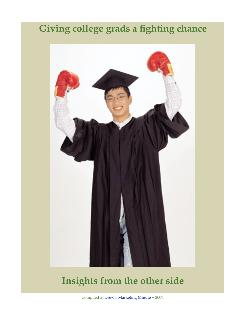# **Giving college grads a fighting chance**



# **Insights from the other side**

Compiled at [Drew's Marketing Minute](http://www.drewsmarketingminute.com) • 2007.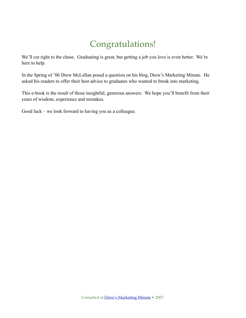## Congratulations!

We'll cut right to the chase. Graduating is great, but getting a job you love is even better. We're here to help.

In the Spring of '06 Drew McLellan posed a question on his blog, Drew's Marketing Minute. He asked his readers to offer their best advice to graduates who wanted to break into marketing.

This e-book is the result of those insightful, generous answers. We hope you'll benefit from their years of wisdom, experience and mistakes.

Good luck – we look forward to having you as a colleague.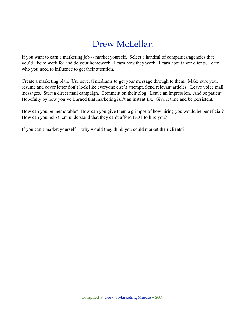# [Drew McLellan](http://www.drewsmarketingminute.com)

If you want to earn a marketing job -- market yourself. Select a handful of companies/agencies that you'd like to work for and do your homework. Learn how they work. Learn about their clients. Learn who you need to influence to get their attention.

Create a marketing plan. Use several mediums to get your message through to them. Make sure your resume and cover letter don't look like everyone else's attempt. Send relevant articles. Leave voice mail messages. Start a direct mail campaign. Comment on their blog. Leave an impression. And be patient. Hopefully by now you've learned that marketing isn't an instant fix. Give it time and be persistent.

How can you be memorable? How can you give them a glimpse of how hiring you would be beneficial? How can you help them understand that they can't afford NOT to hire you?

If you can't market yourself -- why would they think you could market their clients?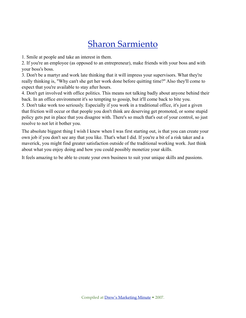# [Sharon Sarmiento](http://www.esoupblog.com)

1. Smile at people and take an interest in them.

2. If you're an employee (as opposed to an entrepreneur), make friends with your boss and with your boss's boss.

3. Don't be a martyr and work late thinking that it will impress your supervisors. What they're really thinking is, "Why can't she get her work done before quitting time?" Also they'll come to expect that you're available to stay after hours.

4. Don't get involved with office politics. This means not talking badly about anyone behind their back. In an office environment it's so tempting to gossip, but it'll come back to bite you.

5. Don't take work too seriously. Especially if you work in a traditional office, it's just a given that friction will occur or that people you don't think are deserving get promoted, or some stupid policy gets put in place that you disagree with. There's so much that's out of your control, so just resolve to not let it bother you.

The absolute biggest thing I wish I knew when I was first starting out, is that you can create your own job if you don't see any that you like. That's what I did. If you're a bit of a risk taker and a maverick, you might find greater satisfaction outside of the traditional working work. Just think about what you enjoy doing and how you could possibly monetize your skills.

It feels amazing to be able to create your own business to suit your unique skills and passions.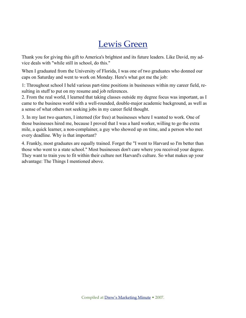#### Lewis Green

Thank you for giving this gift to America's brightest and its future leaders. Like David, my advice deals with "while still in school, do this."

When I graduated from the University of Florida, I was one of two graduates who donned our caps on Saturday and went to work on Monday. Here's what got me the job:

1: Throughout school I held various part-time positions in businesses within my career field, resulting in stuff to put on my resume and job references.

2. From the real world, I learned that taking classes outside my degree focus was important, as I came to the business world with a well-rounded, double-major academic background, as well as a sense of what others not seeking jobs in my career field thought.

3. In my last two quarters, I interned (for free) at businesses where I wanted to work. One of those businesses hired me, because I proved that I was a hard worker, willing to go the extra mile, a quick learner, a non-complainer, a guy who showed up on time, and a person who met every deadline. Why is that important?

4. Frankly, most graduates are equally trained. Forget the "I went to Harvard so I'm better than those who went to a state school." Most businesses don't care where you received your degree. They want to train you to fit within their culture not Harvard's culture. So what makes up your advantage: The Things I mentioned above.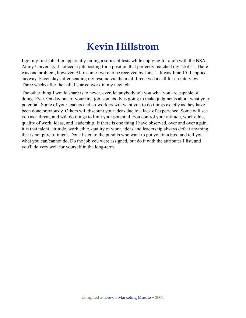# **[Kevin Hillstrom](http://lgbusinesssolutions.typepad.com/)**

I got my first job after apparently failing a series of tests while applying for a job with the NSA. At my University, I noticed a job posting for a position that perfectly matched my "skills". There was one problem, however. All resumes were to be received by June 1. It was June 15. I applied anyway. Seven days after sending my resume via the mail, I received a call for an interview. Three weeks after the call, I started work in my new job.

The other thing I would share is to never, ever, let anybody tell you what you are capable of doing. Ever. On day one of your first job, somebody is going to make judgments about what your potential. Some of your leaders and co-workers will want you to do things exactly as they have been done previously. Others will discount your ideas due to a lack of experience. Some will see you as a threat, and will do things to limit your potential. You control your attitude, work ethic, quality of work, ideas, and leadership. If there is one thing I have observed, over and over again, it is that talent, attitude, work ethic, quality of work, ideas and leadership always defeat anything that is not pure of intent. Don't listen to the pundits who want to put you in a box, and tell you what you can/cannot do. Do the job you were assigned, but do it with the attributes I list, and you'll do very well for yourself in the long-term.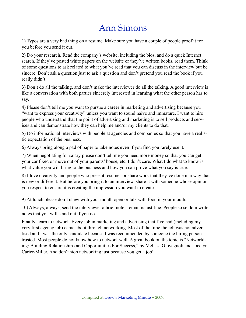#### [Ann Simons](http://www.brandsizzle.com/)

1) Typos are a very bad thing on a resume. Make sure you have a couple of people proof it for you before you send it out.

2) Do your research. Read the company's website, including the bios, and do a quick Internet search. If they've posted white papers on the website or they've written books, read them. Think of some questions to ask related to what you've read that you can discuss in the interview but be sincere. Don't ask a question just to ask a question and don't pretend you read the book if you really didn't.

3) Don't do all the talking, and don't make the interviewer do all the talking. A good interview is like a conversation with both parties sincerely interested in learning what the other person has to say.

4) Please don't tell me you want to pursue a career in marketing and advertising because you "want to express your creativity" unless you want to sound naïve and immature. I want to hire people who understand that the point of advertising and marketing is to sell products and services and can demonstrate how they can help me and/or my clients to do that.

5) Do informational interviews with people at agencies and companies so that you have a realistic expectation of the business.

6) Always bring along a pad of paper to take notes even if you find you rarely use it.

7) When negotiating for salary please don't tell me you need more money so that you can get your car fixed or move out of your parents' house, etc. I don't care. What I do what to know is what value you will bring to the business and how you can prove what you say is true.

8) I love creativity and people who present resumes or share work that they've done in a way that is new or different. But before you bring it to an interview, share it with someone whose opinion you respect to ensure it is creating the impression you want to create.

9) At lunch please don't chew with your mouth open or talk with food in your mouth.

10) Always, always, send the interviewer a brief note---email is just fine. People so seldom write notes that you will stand out if you do.

Finally, learn to network. Every job in marketing and advertising that I've had (including my very first agency job) came about through networking. Most of the time the job was not advertised and I was the only candidate because I was recommended by someone the hiring person trusted. Most people do not know how to network well. A great book on the topic is "Networlding: Building Relationships and Opportunities For Success," by Melissa Giovagnoli and Jocelyn Carter-Miller. And don't stop networking just because you get a job!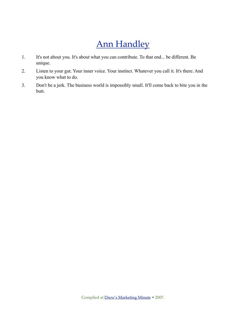### **[Ann Handley](http://www.mpdailyfix.com/)**

- 1. It's not about you. It's about what you can contribute. To that end... be different. Be unique.
- 2. Listen to your gut. Your inner voice. Your instinct. Whatever you call it. It's there. And you know what to do.
- 3. Don't be a jerk. The business world is impossibly small. It'll come back to bite you in the butt.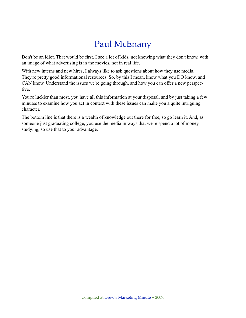# [Paul McEnany](http://www.heehawmarketing.com/)

Don't be an idiot. That would be first. I see a lot of kids, not knowing what they don't know, with an image of what advertising is in the movies, not in real life.

With new interns and new hires, I always like to ask questions about how they use media. They're pretty good informational resources. So, by this I mean, know what you DO know, and CAN know. Understand the issues we're going through, and how you can offer a new perspective.

You're luckier than most, you have all this information at your disposal, and by just taking a few minutes to examine how you act in context with these issues can make you a quite intriguing character.

The bottom line is that there is a wealth of knowledge out there for free, so go learn it. And, as someone just graduating college, you use the media in ways that we're spend a lot of money studying, so use that to your advantage.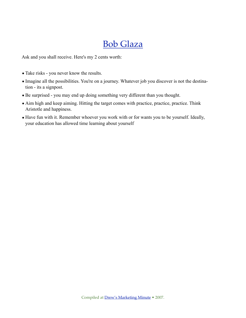#### [Bob Glaza](http://onereaderatatime.blogspot.com/)

Ask and you shall receive. Here's my 2 cents worth:

- •Take risks you never know the results.
- •Imagine all the possibilities. You're on a journey. Whatever job you discover is not the destination - its a signpost.
- •Be surprised you may end up doing something very different than you thought.
- •Aim high and keep aiming. Hitting the target comes with practice, practice, practice. Think Aristotle and happiness.
- •Have fun with it. Remember whoever you work with or for wants you to be yourself. Ideally, your education has allowed time learning about yourself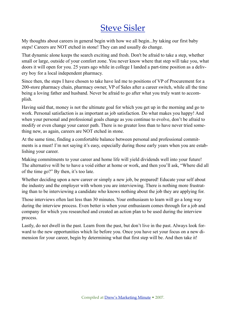### **Steve Sisler**

My thoughts about careers in general begin with how we all begin...by taking our first baby steps! Careers are NOT etched in stone! They can and usually do change.

That dynamic alone keeps the search exciting and fresh. Don't be afraid to take a step, whether small or large, outside of your comfort zone. You never know where that step will take you, what doors it will open for you. 25 years ago while in college I landed a part-time position as a delivery boy for a local independent pharmacy.

Since then, the steps I have chosen to take have led me to positions of VP of Procurement for a 200-store pharmacy chain, pharmacy owner, VP of Sales after a career switch, while all the time being a loving father and husband. Never be afraid to go after what you truly want to accomplish.

Having said that, money is not the ultimate goal for which you get up in the morning and go to work. Personal satisfaction is as important as job satisfaction. Do what makes you happy! And when your personal and professional goals change as you continue to evolve, don't be afraid to modify or even change your career path. There is no greater loss than to have never tried something new, as again, careers are NOT etched in stone.

At the same time, finding a comfortable balance between personal and professional commitments is a must! I'm not saying it's easy, especially during those early years when you are establishing your career.

Making commitments to your career and home life will yield dividends well into your future! The alternative will be to have a void either at home or work, and then you'll ask, "Where did all of the time go?" By then, it's too late.

Whether deciding upon a new career or simply a new job, be prepared! Educate your self about the industry and the employer with whom you are interviewing. There is nothing more frustrating than to be interviewing a candidate who knows nothing about the job they are applying for.

Those interviews often last less than 30 minutes. Your enthusiasm to learn will go a long way during the interview process. Even better is when your enthusiasm comes through for a job and company for which you researched and created an action plan to be used during the interview process.

Lastly, do not dwell in the past. Learn from the past, but don't live in the past. Always look forward to the new opportunities which lie before you. Once you have set your focus on a new dimension for your career, begin by determining what that first step will be. And then take it!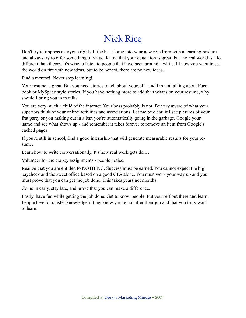### [Nick Rice](http://www.nick-rice.com)

Don't try to impress everyone right off the bat. Come into your new role from with a learning posture and always try to offer something of value. Know that your education is great; but the real world is a lot different than theory. It's wise to listen to people that have been around a while. I know you want to set the world on fire with new ideas, but to be honest, there are no new ideas.

Find a mentor! Never stop learning!

Your resume is great. But you need stories to tell about yourself - and I'm not talking about Facebook or MySpace style stories. If you have nothing more to add than what's on your resume, why should I bring you in to talk?

You are very much a child of the internet. Your boss probably is not. Be very aware of what your superiors think of your online activities and associations. Let me be clear, if I see pictures of your frat party or you making out in a bar, you're automatically going in the garbage. Google your name and see what shows up - and remember it takes forever to remove an item from Google's cached pages.

If you're still in school, find a good internship that will generate measurable results for your resume.

Learn how to write conversationally. It's how real work gets done.

Volunteer for the crappy assignments - people notice.

Realize that you are entitled to NOTHING. Success must be earned. You cannot expect the big paycheck and the sweet office based on a good GPA alone. You must work your way up and you must prove that you can get the job done. This takes years not months.

Come in early, stay late, and prove that you can make a difference.

Lastly, have fun while getting the job done. Get to know people. Put yourself out there and learn. People love to transfer knowledge if they know you're not after their job and that you truly want to learn.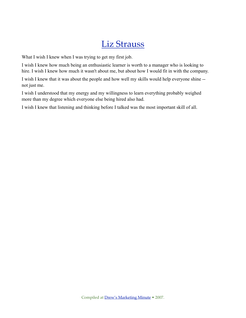#### [Liz Strauss](http://www.successful-blog.com/)

What I wish I knew when I was trying to get my first job.

I wish I knew how much being an enthusiastic learner is worth to a manager who is looking to hire. I wish I knew how much it wasn't about me, but about how I would fit in with the company.

I wish I knew that it was about the people and how well my skills would help everyone shine - not just me.

I wish I understood that my energy and my willingness to learn everything probably weighed more than my degree which everyone else being hired also had.

I wish I knew that listening and thinking before I talked was the most important skill of all.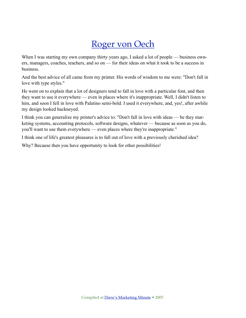# [Roger von Oech](http://www.creativethink.com/)

When I was starting my own company thirty years ago, I asked a lot of people — business owners, managers, coaches, teachers, and so on — for their ideas on what it took to be a success in business.

And the best advice of all came from my printer. His words of wisdom to me were: "Don't fall in love with type styles."

He went on to explain that a lot of designers tend to fall in love with a particular font, and then they want to use it everywhere — even in places where it's inappropriate. Well, I didn't listen to him, and soon I fell in love with Palatino semi-bold. I used it everywhere, and, yes!, after awhile my design looked hackneyed.

I think you can generalize my printer's advice to: "Don't fall in love with ideas — be they marketing systems, accounting protocols, software designs, whatever — because as soon as you do, you'll want to use them everywhere — even places where they're inappropriate."

I think one of life's greatest pleasures is to fall out of love with a previously cherished idea?

Why? Because then you have opportunity to look for other possibilities!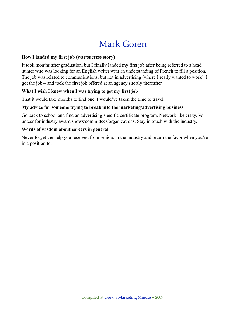# [Mark Goren](http://transmissionmarketing.ca/)

#### **How I landed my first job (war/success story)**

It took months after graduation, but I finally landed my first job after being referred to a head hunter who was looking for an English writer with an understanding of French to fill a position. The job was related to communications, but not in advertising (where I really wanted to work). I got the job – and took the first job offered at an agency shortly thereafter.

#### **What I wish I knew when I was trying to get my first job**

That it would take months to find one. I would've taken the time to travel.

#### **My advice for someone trying to break into the marketing/advertising business**

Go back to school and find an advertising-specific certificate program. Network like crazy. Volunteer for industry award shows/committees/organizations. Stay in touch with the industry.

#### **Words of wisdom about careers in general**

Never forget the help you received from seniors in the industry and return the favor when you're in a position to.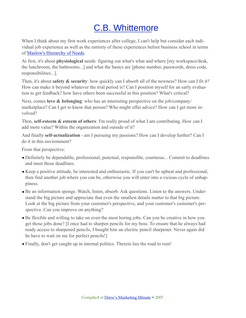## [C.B. Whittemore](http://flooringtheconsumer.blogspot.com/)

When I think about my first work experiences after college, I can't help but consider each individual job experience as well as the entirety of these experiences before business school in terms of Maslow's Hierarchy of Needs.

At first, it's about **physiological** needs: figuring out what's what and where [my workspace/desk, the lunchroom, the bathrooms...] and what the basics are [phone number, passwords, dress code, responsibilities...].

Then, it's about **safety & security**: how quickly can I absorb all of the newness? How can I fit it? How can make it beyond whatever the trial period is? Can I position myself for an early evaluation to get feedback? how have others been successful in this position? What's critical?

Next, comes **love & belonging**: who has an interesting perspective on the job/company/ marketplace? Can I get to know that person? Who might offer advice? How can I get more involved?

Then, **self-esteem & esteem of others**: I'm really proud of what I am contributing. How can I add more value? Within the organization and outside of it?

And finally **self-actualization** - am I pursuing my passions? How can I develop further? Can I do it in this environment?

From that perspective:

- •Definitely be dependable, professional, punctual, responsible, courteous... Commit to deadlines and meet those deadlines.
- •Keep a positive attitude, be interested and enthusiastic. If you can't be upbeat and professional, then find another job where you can be, otherwise you will enter into a vicious cycle of unhappiness.
- Be an information sponge. Watch, listen, absorb. Ask questions. Listen to the answers. Understand the big picture and appreciate that even the smallest details matter to that big picture. Look at the big picture from your customer's perspective, and your customer's customer's perspective. Can you improve on anything?
- •Be flexible and willing to take on even the most boring jobs. Can you be creative in how you get those jobs done? [I once had to sharpen pencils for my boss. To ensure that he always had ready access to sharpened pencils, I bought him an electric pencil sharpener. Never again did he have to wait on me for perfect pencils!]
- •Finally, don't get caught up in internal politics. Therein lies the road to ruin!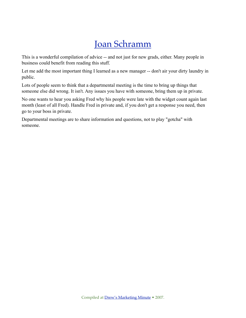## [Joan Schramm](http://blog.achieve-momentum.com/)

This is a wonderful compilation of advice -- and not just for new grads, either. Many people in business could benefit from reading this stuff.

Let me add the most important thing I learned as a new manager -- don't air your dirty laundry in public.

Lots of people seem to think that a departmental meeting is the time to bring up things that someone else did wrong. It isn't. Any issues you have with someone, bring them up in private.

No one wants to hear you asking Fred why his people were late with the widget count again last month (least of all Fred). Handle Fred in private and, if you don't get a response you need, then go to your boss in private.

Departmental meetings are to share information and questions, not to play "gotcha" with someone.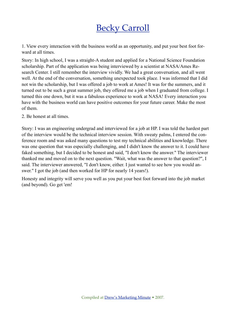### [Becky Carroll](http://customersrock.wordpress.com)

1. View every interaction with the business world as an opportunity, and put your best foot forward at all times.

Story: In high school, I was a straight-A student and applied for a National Science Foundation scholarship. Part of the application was being interviewed by a scientist at NASA/Ames Research Center. I still remember the interview vividly. We had a great conversation, and all went well. At the end of the conversation, something unexpected took place. I was informed that I did not win the scholarship, but I was offered a job to work at Ames! It was for the summers, and it turned out to be such a great summer job, they offered me a job when I graduated from college. I turned this one down, but it was a fabulous experience to work at NASA! Every interaction you have with the business world can have positive outcomes for your future career. Make the most of them.

2. Be honest at all times.

Story: I was an engineering undergrad and interviewed for a job at HP. I was told the hardest part of the interview would be the technical interview session. With sweaty palms, I entered the conference room and was asked many questions to test my technical abilities and knowledge. There was one question that was especially challenging, and I didn't know the answer to it. I could have faked something, but I decided to be honest and said, "I don't know the answer." The interviewer thanked me and moved on to the next question. "Wait, what was the answer to that question?", I said. The interviewer answered, "I don't know, either. I just wanted to see how you would answer." I got the job (and then worked for HP for nearly 14 years!).

Honesty and integrity will serve you well as you put your best foot forward into the job market (and beyond). Go get 'em!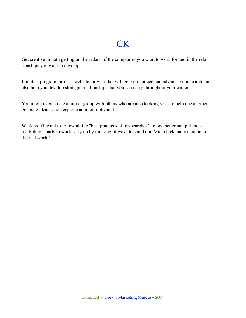#### **[CK](http://www.ck-blog.com/)**

Get creative in both getting on the radars' of the companies you want to work for and in the relationships you want to develop.

Initiate a program, project, website, or wiki that will get you noticed and advance your search but also help you develop strategic relationships that you can carry throughout your career.

You might even create a hub or group with others who are also looking so as to help one another generate ideas--and keep one another motivated.

While you'll want to follow all the "best practices of job searches" do one better and put those marketing smarts to work early on by thinking of ways to stand out. Much luck and welcome to the real world!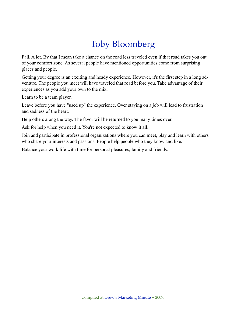# [Toby Bloomberg](www.divamarketingblog.com)

Fail. A lot. By that I mean take a chance on the road less traveled even if that road takes you out of your comfort zone. As several people have mentioned opportunities come from surprising places and people.

Getting your degree is an exciting and heady experience. However, it's the first step in a long adventure. The people you meet will have traveled that road before you. Take advantage of their experiences as you add your own to the mix.

Learn to be a team player.

Leave before you have "used up" the experience. Over staying on a job will lead to frustration and sadness of the heart.

Help others along the way. The favor will be returned to you many times over.

Ask for help when you need it. You're not expected to know it all.

Join and participate in professional organizations where you can meet, play and learn with others who share your interests and passions. People help people who they know and like.

Balance your work life with time for personal pleasures, family and friends.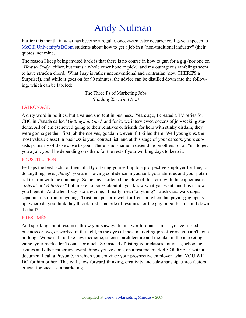# [Andy Nulman](http://powrightbetweentheeyes.typepad.com)

Earlier this month, in what has become a regular, once-a-semester occurrence, I gave a speech to McGill University's BCom students about how to get a job in a "non-traditional industry" (their quotes, not mine).

The reason I keep being invited back is that there is no course in how to gun for a gig (nor one on "*How to Study*" either, but that's a whole other bone to pick), and my outrageous ramblings seem to have struck a chord. What I say is rather unconventional and contrarian (now THERE'S a Surprise!), and while it goes on for 90 minutes, the advice can be distilled down into the following, which can be labeled:

> The Three Ps of Marketing Jobs *(Finding 'Em, That Is...)*

#### **PATRONAGE**

A dirty word in politics, but a valued shortcut in business. Years ago, I created a TV series for CBC in Canada called "*Getting Job One*," and for it, we interviewed dozens of job-seeking students. All of 'em eschewed going to their relatives or friends for help with stinky disdain; they were gonna get their first job themselves, goddamit, even if it killed them! Well young'uns, the most valuable asset in business is your contact list, and at this stage of your careers, yours subsists primarily of those close to you. There is no shame in depending on others for an "in" to get you a job; you'll be depending on others for the rest of your working days to keep it.

#### PROSTITUTION

Perhaps the best tactic of them all. By offering yourself up to a prospective employer for free, to do anything--*everything!*--you are showing confidence in yourself, your abilities and your potential to fit in with the company. Some have softened the blow of this term with the euphemisms "*Intern*" or "*Volunteer,*" but make no bones about it--you know what you want, and this is how you'll get it. And when I say "do anything," I really mean "anything"--wash cars, walk dogs, separate trash from recycling. Trust me, perform well for free and when that paying gig opens up, where do you think they'll look first--that pile of resumés...or the guy or gal bustin' butt down the hall?

#### PRÉSUMÉS

And speaking about resumés, throw yours away. It ain't worth squat. Unless you've started a business or two, or worked in the field, in the eyes of most marketing job-offerers, you ain't done nothing. Worse still, unlike law, medicine, science, architecture and the like, in the marketing game, your marks don't count for much. So instead of listing your classes, interests, school activities and other rather irrelevant things you've done, on a resumé, market YOURSELF with a document I call a Presumé, in which you convince your prospective employer what YOU WILL DO for him or her. This will show forward-thinking, creativity and salesmanship...three factors crucial for success in marketing.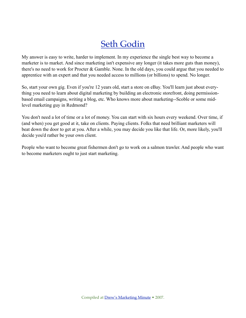# [Seth Godin](http://sethgodin.typepad.com/)

My answer is easy to write, harder to implement. In my experience the single best way to become a marketer is to market. And since marketing isn't expensive any longer (it takes more guts than money), there's no need to work for Procter & Gamble. None. In the old days, you could argue that you needed to apprentice with an expert and that you needed access to millions (or billions) to spend. No longer.

So, start your own gig. Even if you're 12 years old, start a store on eBay. You'll learn just about everything you need to learn about digital marketing by building an electronic storefront, doing permissionbased email campaigns, writing a blog, etc. Who knows more about marketing--Scoble or some midlevel marketing guy in Redmond?

You don't need a lot of time or a lot of money. You can start with six hours every weekend. Over time, if (and when) you get good at it, take on clients. Paying clients. Folks that need brilliant marketers will beat down the door to get at you. After a while, you may decide you like that life. Or, more likely, you'll decide you'd rather be your own client.

People who want to become great fishermen don't go to work on a salmon trawler. And people who want to become marketers ought to just start marketing.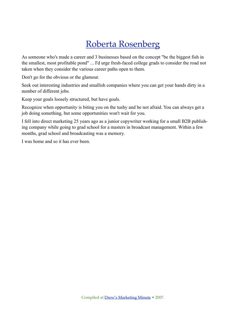## [Roberta Rosenberg](http://www.copywritingmaven.com/)

As someone who's made a career and 3 businesses based on the concept "be the biggest fish in the smallest, most profitable pond" ... I'd urge fresh-faced college grads to consider the road not taken when they consider the various career paths open to them.

Don't go for the obvious or the glamour.

Seek out interesting industries and smallish companies where you can get your hands dirty in a number of different jobs.

Keep your goals loosely structured, but have goals.

Recognize when opportunity is biting you on the tushy and be not afraid. You can always get a job doing something, but some opportunities won't wait for you.

I fell into direct marketing 25 years ago as a junior copywriter working for a small B2B publishing company while going to grad school for a masters in broadcast management. Within a few months, grad school and broadcasting was a memory.

I was home and so it has ever been.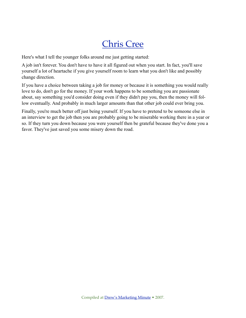### [Chris Cree](http://successcreeations.com/)

Here's what I tell the younger folks around me just getting started:

A job isn't forever. You don't have to have it all figured out when you start. In fact, you'll save yourself a lot of heartache if you give yourself room to learn what you don't like and possibly change direction.

If you have a choice between taking a job for money or because it is something you would really love to do, don't go for the money. If your work happens to be something you are passionate about, say something you'd consider doing even if they didn't pay you, then the money will follow eventually. And probably in much larger amounts than that other job could ever bring you.

Finally, you're much better off just being yourself. If you have to pretend to be someone else in an interview to get the job then you are probably going to be miserable working there in a year or so. If they turn you down because you were yourself then be grateful because they've done you a favor. They've just saved you some misery down the road.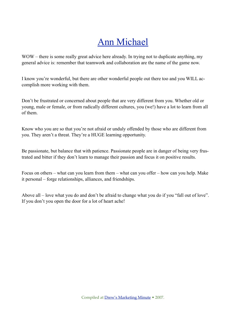# [Ann Michael](http://managetochange.typepad.com)

WOW – there is some really great advice here already. In trying not to duplicate anything, my general advice is: remember that teamwork and collaboration are the name of the game now.

I know you're wonderful, but there are other wonderful people out there too and you WILL accomplish more working with them.

Don't be frustrated or concerned about people that are very different from you. Whether old or young, male or female, or from radically different cultures, you (we!) have a lot to learn from all of them.

Know who you are so that you're not afraid or unduly offended by those who are different from you. They aren't a threat. They're a HUGE learning opportunity.

Be passionate, but balance that with patience. Passionate people are in danger of being very frustrated and bitter if they don't learn to manage their passion and focus it on positive results.

Focus on others – what can you learn from them – what can you offer – how can you help. Make it personal – forge relationships, alliances, and friendships.

Above all – love what you do and don't be afraid to change what you do if you "fall out of love". If you don't you open the door for a lot of heart ache!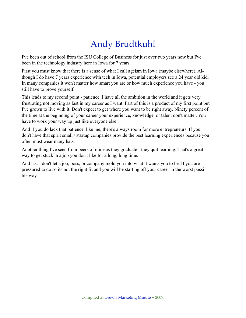# [Andy Brudtkuhl](http://getanewbrowser.com/)

I've been out of school from the ISU College of Business for just over two years now but I've been in the technology industry here in Iowa for 7 years.

First you must know that there is a sense of what I call ageism in Iowa (maybe elsewhere). Although I do have 7 years experience with tech in Iowa, potential employers see a 24 year old kid. In many companies it won't matter how smart you are or how much experience you have - you still have to prove yourself.

This leads to my second point - patience. I have all the ambition in the world and it gets very frustrating not moving as fast in my career as I want. Part of this is a product of my first point but I've grown to live with it. Don't expect to get where you want to be right away. Ninety percent of the time at the beginning of your career your experience, knowledge, or talent don't matter. You have to work your way up just like everyone else.

And if you do lack that patience, like me, there's always room for more entrepreneurs. If you don't have that spirit small / startup companies provide the best learning experiences because you often must wear many hats.

Another thing I've seen from peers of mine as they graduate - they quit learning. That's a great way to get stuck in a job you don't like for a long, long time.

And last - don't let a job, boss, or company mold you into what it wants you to be. If you are pressured to do so its not the right fit and you will be starting off your career in the worst possible way.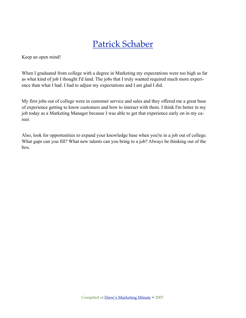## [Patrick Schaber](http://www.lonelymarketer.com/)

Keep an open mind!

When I graduated from college with a degree in Marketing my expectations were too high as far as what kind of job I thought I'd land. The jobs that I truly wanted required much more experience than what I had. I had to adjust my expectations and I am glad I did.

My first jobs out of college were in customer service and sales and they offered me a great base of experience getting to know customers and how to interact with them. I think I'm better in my job today as a Marketing Manager because I was able to get that experience early on in my career.

Also, look for opportunities to expand your knowledge base when you're in a job out of college. What gaps can you fill? What new talents can you bring to a job? Always be thinking out of the box.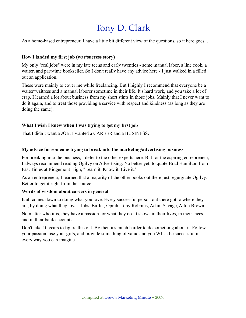#### [Tony D. Clark](http://successfromthenest.com/)

As a home-based entrepreneur, I have a little bit different view of the questions, so it here goes...

#### **How I landed my first job (war/success story)**

My only "real jobs" were in my late teens and early twenties - some manual labor, a line cook, a waiter, and part-time bookseller. So I don't really have any advice here - I just walked in a filled out an application.

These were mainly to cover me while freelancing. But I highly I recommend that everyone be a waiter/waitress and a manual laborer sometime in their life. It's hard work, and you take a lot of crap. I learned a lot about business from my short stints in those jobs. Mainly that I never want to do it again, and to treat those providing a service with respect and kindness (as long as they are doing the same).

#### **What I wish I knew when I was trying to get my first job**

That I didn't want a JOB. I wanted a CAREER and a BUSINESS.

#### **My advice for someone trying to break into the marketing/advertising business**

For breaking into the business, I defer to the other experts here. But for the aspiring entrepreneur, I always recommend reading Ogilvy on Advertising. No better yet, to quote Brad Hamilton from Fast Times at Ridgemont High, "Learn it. Know it. Live it."

As an entrepreneur, I learned that a majority of the other books out there just regurgitate Ogilvy. Better to get it right from the source.

#### **Words of wisdom about careers in general**

It all comes down to doing what you love. Every successful person out there got to where they are, by doing what they love - Jobs, Buffet, Oprah, Tony Robbins, Adam Savage, Alton Brown.

No matter who it is, they have a passion for what they do. It shows in their lives, in their faces, and in their bank accounts.

Don't take 10 years to figure this out. By then it's much harder to do something about it. Follow your passion, use your gifts, and provide something of value and you WILL be successful in every way you can imagine.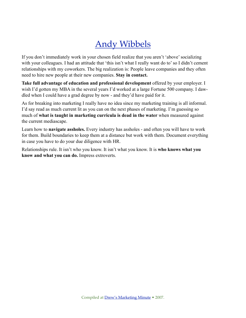# [Andy Wibbels](http://andywibbels.com/)

If you don't immediately work in your chosen field realize that you aren't 'above' socializing with your colleagues. I had an attitude that 'this isn't what I really want do to' so I didn't cement relationships with my coworkers. The big realization is: People leave companies and they often need to hire new people at their new companies. **Stay in contact.**

**Take full advantage of education and professional development** offered by your employer. I wish I'd gotten my MBA in the several years I'd worked at a large Fortune 500 company. I dawdled when I could have a grad degree by now - and they'd have paid for it.

As for breaking into marketing I really have no idea since my marketing training is all informal. I'd say read as much current lit as you can on the next phases of marketing. I'm guessing so much of **what is taught in marketing curricula is dead in the water** when measured against the current mediascape.

Learn how to **navigate assholes.** Every industry has assholes - and often you will have to work for them. Build boundaries to keep them at a distance but work with them. Document everything in case you have to do your due diligence with HR.

Relationships rule. It isn't who you know. It isn't what you know. It is **who knows what you know and what you can do.** Impress extroverts.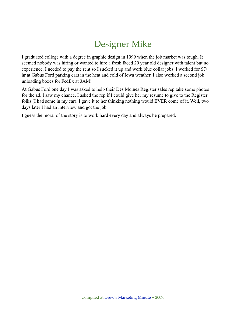### Designer Mike

I graduated college with a degree in graphic design in 1999 when the job market was tough. It seemed nobody was hiring or wanted to hire a fresh faced 20 year old designer with talent but no experience. I needed to pay the rent so I sucked it up and work blue collar jobs. I worked for \$7/ hr at Gabus Ford parking cars in the heat and cold of Iowa weather. I also worked a second job unloading boxes for FedEx at 3AM!

At Gabus Ford one day I was asked to help their Des Moines Register sales rep take some photos for the ad. I saw my chance. I asked the rep if I could give her my resume to give to the Register folks (I had some in my car). I gave it to her thinking nothing would EVER come of it. Well, two days later I had an interview and got the job.

I guess the moral of the story is to work hard every day and always be prepared.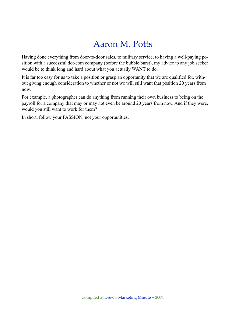# [Aaron M. Potts](http://todayisthatday.com/)

Having done everything from door-to-door sales, to military service, to having a well-paying position with a successful dot-com company (before the bubble burst), my advice to any job seeker would be to think long and hard about what you actually WANT to do.

It is far too easy for us to take a position or grasp an opportunity that we are qualified for, without giving enough consideration to whether or not we will still want that position 20 years from now.

For example, a photographer can do anything from running their own business to being on the payroll for a company that may or may not even be around 20 years from now. And if they were, would you still want to work for them?

In short, follow your PASSION, not your opportunities.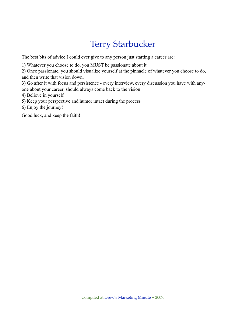### [Terry Starbucker](http://tshalffull.blogspot.com/)

The best bits of advice I could ever give to any person just starting a career are:

1) Whatever you choose to do, you MUST be passionate about it

2) Once passionate, you should visualize yourself at the pinnacle of whatever you choose to do, and then write that vision down.

3) Go after it with focus and persistence - every interview, every discussion you have with anyone about your career, should always come back to the vision

4) Believe in yourself

5) Keep your perspective and humor intact during the process

6) Enjoy the journey!

Good luck, and keep the faith!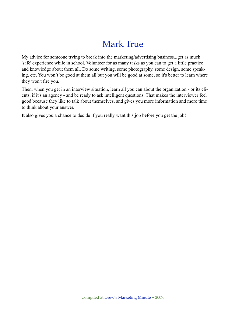### [Mark True](http://www.storiesbyrel.com/)

My advice for someone trying to break into the marketing/advertising business...get as much 'safe' experience while in school. Volunteer for as many tasks as you can to get a little practice and knowledge about them all. Do some writing, some photography, some design, some speaking, etc. You won't be good at them all but you will be good at some, so it's better to learn where they won't fire you.

Then, when you get in an interview situation, learn all you can about the organization - or its clients, if it's an agency - and be ready to ask intelligent questions. That makes the interviewer feel good because they like to talk about themselves, and gives you more information and more time to think about your answer.

It also gives you a chance to decide if you really want this job before you get the job!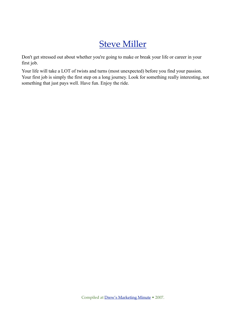### **[Steve Miller](http://www.twohatmarketing.com/)**

Don't get stressed out about whether you're going to make or break your life or career in your first job.

Your life will take a LOT of twists and turns (most unexpected) before you find your passion. Your first job is simply the first step on a long journey. Look for something really interesting, not something that just pays well. Have fun. Enjoy the ride.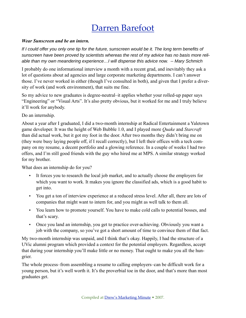# [Darren Barefoot](http://www.darrenbarefoot.com)

#### *Wear Sunscreen and be an intern.*

*If I could offer you only one tip for the future, sunscreen would be it. The long term benefits of sunscreen have been proved by scientists whereas the rest of my advice has no basis more reliable than my own meandering experience…I will dispense this advice now. -- Mary Schmich*

I probably do one informational interview a month with a recent grad, and inevitably they ask a lot of questions about ad agencies and large corporate marketing departments. I can't answer those. I've never worked in either (though I've consulted in both), and given that I prefer a diversity of work (and work environment), that suits me fine.

So my advice to new graduates is degree-neutral–it applies whether your rolled-up paper says "Engineering" or "Visual Arts". It's also pretty obvious, but it worked for me and I truly believe it'll work for anybody.

Do an internship.

About a year after I graduated, I did a two-month internship at Radical Entertainment a Yaletown game developer. It was the height of Web Bubble 1.0, and I played more *Quake* and *Starcraft* than did actual work, but it got my foot in the door. After two months they didn't bring me on (they were busy laying people off, if I recall correctly), but I left their offices with a tech company on my resume, a decent portfolio and a glowing reference. In a couple of weeks I had two offers, and I'm still good friends with the guy who hired me at MPS. A similar strategy worked for my brother.

What does an internship do for you?

- It forces you to research the local job market, and to actually choose the employers for which you want to work. It makes you ignore the classified ads, which is a good habit to get into.
- You get a ton of interview experience at a reduced stress level. After all, there are lots of companies that might want to intern for, and you might as well talk to them all.
- You learn how to promote yourself. You have to make cold calls to potential bosses, and that's scary.
- Once you land an internship, you get to practice over-achieving. Obviously you want a job with the company, so you've got a short amount of time to convince them of that fact.

My two-month internship was unpaid, and I think that's okay. Happily, I had the structure of a UVic alumni program which provided a context for the potential employers. Regardless, accept that during your internship you'll make little or no money. That ought to make you all the hungrier.

The whole process–from assembling a resume to calling employers–can be difficult work for a young person, but it's well worth it. It's the proverbial toe in the door, and that's more than most graduates get.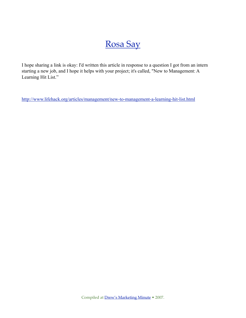#### [Rosa Say](http://www.managingwithaloha.com/)

I hope sharing a link is okay: I'd written this article in response to a question I got from an intern starting a new job, and I hope it helps with your project; it's called, "New to Management: A Learning Hit List."

<http://www.lifehack.org/articles/management/new-to-management-a-learning-hit-list.html>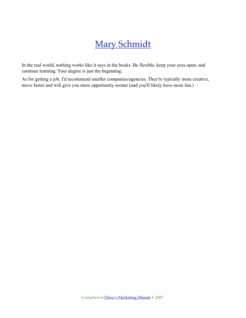# [Mary Schmidt](http://www.maryschmidt.com/)

In the real world, nothing works like it says in the books. Be flexible, keep your eyes open, and continue learning. Your degree is just the beginning.

As for getting a job, I'd recommend smaller companies/agencies. They're typically more creative, move faster and will give you more opportunity sooner (and you'll likely have more fun.)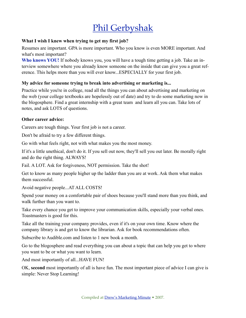# [Phil Gerbyshak](http://makeitgreat.typepad.com)

#### **What I wish I knew when trying to get my first job?**

Resumes are important. GPA is more important. Who you know is even MORE important. And what's most important?

**Who knows YOU!** If nobody knows you, you will have a tough time getting a job. Take an interview somewhere where you already know someone on the inside that can give you a great reference. This helps more than you will ever know...ESPECIALLY for your first job.

#### **My advice for someone trying to break into advertising or marketing is...**

Practice while you're in college, read all the things you can about advertising and marketing on the web (your college textbooks are hopelessly out of date) and try to do some marketing now in the blogosphere. Find a great internship with a great team and learn all you can. Take lots of notes, and ask LOTS of questions.

#### **Other career advice:**

Careers are tough things. Your first job is not a career.

Don't be afraid to try a few different things.

Go with what feels right, not with what makes you the most money.

If it's a little unethical, don't do it. If you sell out now, they'll sell you out later. Be morally right and do the right thing. ALWAYS!

Fail. A LOT. Ask for forgiveness, NOT permission. Take the shot!

Get to know as many people higher up the ladder than you are at work. Ask them what makes them successful.

Avoid negative people...AT ALL COSTS!

Spend your money on a comfortable pair of shoes because you'll stand more than you think, and walk further than you want to.

Take every chance you get to improve your communication skills, especially your verbal ones. Toastmasters is good for this.

Take all the training your company provides, even if it's on your own time. Know where the company library is and get to know the librarian. Ask for book recommendations often.

Subscribe to Audible.com and listen to 1 new book a month.

Go to the blogosphere and read everything you can about a topic that can help you get to where you want to be or what you want to learn.

And most importantly of all...HAVE FUN!

OK, **second** most importantly of all is have fun. The most important piece of advice I can give is simple: Never Stop Learning!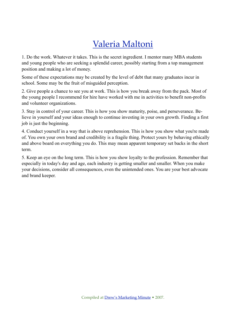# [Valeria Maltoni](http://www.conversationagent.com/)

1. Do the work. Whatever it takes. This is the secret ingredient. I mentor many MBA students and young people who are seeking a splendid career, possibly starting from a top management position and making a lot of money.

Some of these expectations may be created by the level of debt that many graduates incur in school. Some may be the fruit of misguided perception.

2. Give people a chance to see you at work. This is how you break away from the pack. Most of the young people I recommend for hire have worked with me in activities to benefit non-profits and volunteer organizations.

3. Stay in control of your career. This is how you show maturity, poise, and perseverance. Believe in yourself and your ideas enough to continue investing in your own growth. Finding a first job is just the beginning.

4. Conduct yourself in a way that is above reprehension. This is how you show what you're made of. You own your own brand and credibility is a fragile thing. Protect yours by behaving ethically and above board on everything you do. This may mean apparent temporary set backs in the short term.

5. Keep an eye on the long term. This is how you show loyalty to the profession. Remember that especially in today's day and age, each industry is getting smaller and smaller. When you make your decisions, consider all consequences, even the unintended ones. You are your best advocate and brand keeper.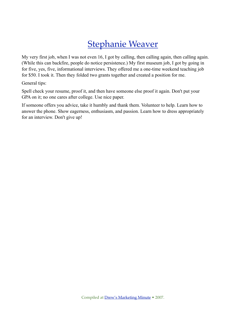# [Stephanie Weaver](www.experienceology.com)

My very first job, when I was not even 16, I got by calling, then calling again, then calling again. (While this can backfire, people do notice persistence.) My first museum job, I got by going in for five, yes, five, informational interviews. They offered me a one-time weekend teaching job for \$50. I took it. Then they folded two grants together and created a position for me.

General tips:

Spell check your resume, proof it, and then have someone else proof it again. Don't put your GPA on it; no one cares after college. Use nice paper.

If someone offers you advice, take it humbly and thank them. Volunteer to help. Learn how to answer the phone. Show eagerness, enthusiasm, and passion. Learn how to dress appropriately for an interview. Don't give up!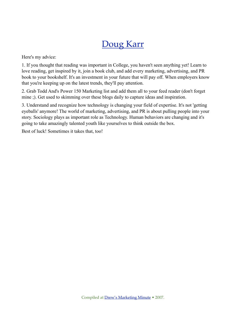### [Doug Karr](http://www.douglaskarr.com/)

Here's my advice:

1. If you thought that reading was important in College, you haven't seen anything yet! Learn to love reading, get inspired by it, join a book club, and add every marketing, advertising, and PR book to your bookshelf. It's an investment in your future that will pay off. When employers know that you're keeping up on the latest trends, they'll pay attention.

2. Grab Todd And's Power 150 Marketing list and add them all to your feed reader (don't forget mine ;). Get used to skimming over these blogs daily to capture ideas and inspiration.

3. Understand and recognize how technology is changing your field of expertise. It's not 'getting eyeballs' anymore! The world of marketing, advertising, and PR is about pulling people into your story. Sociology plays as important role as Technology. Human behaviors are changing and it's going to take amazingly talented youth like yourselves to think outside the box.

Best of luck! Sometimes it takes that, too!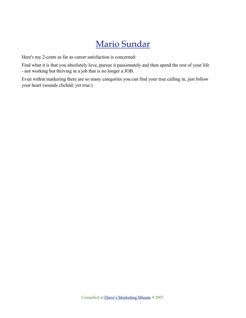# [Mario Sundar](http://mariosundar.wordpress.com/)

Here's my 2-cents as far as career satisfaction is concerned:

Find what it is that you absolutely love, pursue it passionately and then spend the rest of your life - not working but thriving in a job that is no longer a JOB.

Even within marketing there are so many categories you can find your true calling in, just follow your heart (sounds clichéd; yet true:)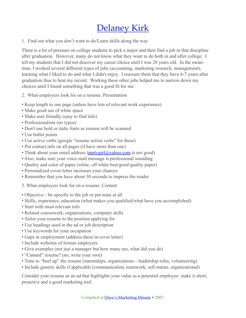# [Delaney Kirk](http://www.delaneykirk.com)

1. Find out what you don't want to do/Learn skills along the way

There is a lot of pressure on college students to pick a major and then find a job in that discipline after graduation. However, many do not know what they want to do both in and after college. I tell my students that I did not discover my career choice until I was 28 years old. In the meantime, I worked several different types of jobs (accounting, marketing research, management), learning what I liked to do and what I didn't enjoy. I reassure them that they have 6-7 years after graduation thus to beat my record. Working these other jobs helped me to narrow down my choices until I found something that was a good fit for me.

- 2. What employers look for on a resume: Presentation
- Keep length to one page (unless have lots of relevant work experience)
- Make good use of white space
- Make user friendly (easy to find info)
- Professionalism (no typos)
- Don't use bold or italic fonts as resume will be scanned
- Use bullet points
- Use active verbs (google "resume action verbs" for these)
- Put contact info on all pages (if have more than one)
- Think about your email address ( $party\$
- Also, make sure your voice mail message is professional sounding
- Quality and color of paper (white, off white best/good quality paper)
- Personalized cover letter increases your chances
- Remember that you have about 30 seconds to impress the reader
- 3. What employers look for on a resume: Content
- Objective—be specific to the job or put none at all
- Skills, experience, education (what makes you qualified/what have you accomplished)
- Start with most relevant info
- Related coursework, organizations, computer skills
- Tailor your resume to the position applying for
- Use headings used in the ad or job description
- Use keywords for your occupation
- Gaps in employment (address these in cover letter)
- Include websites of former employers
- Give examples (not just a manager but how many ees, what did you do)
- "Canned" resume? (no, write your own)
- Time to "beef up" the resume (internships, organizations—leadership roles, volunteering)
- Include generic skills if applicable (communication, teamwork, self-starter, organizational)

Consider your resume as an ad that highlights your value as a potential employee: make it short, proactive and a good marketing tool.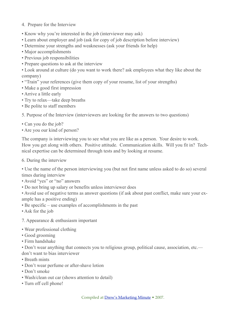- 4. Prepare for the Interview
- Know why you're interested in the job (interviewer may ask)
- Learn about employer and job (ask for copy of job description before interview)
- Determine your strengths and weaknesses (ask your friends for help)
- Major accomplishments
- Previous job responsibilities
- Prepare questions to ask at the interview

• Look around at culture (do you want to work there? ask employees what they like about the company)

- "Train" your references (give them copy of your resume, list of your strengths)
- Make a good first impression
- Arrive a little early
- Try to relax—take deep breaths
- Be polite to staff members

5. Purpose of the Interview (interviewers are looking for the answers to two questions)

- Can you do the job?
- Are you our kind of person?

The company is interviewing you to see what you are like as a person. Your desire to work. How you get along with others. Positive attitude. Communication skills. Will you fit in? Technical expertise can be determined through tests and by looking at resume.

6. During the interview

• Use the name of the person interviewing you (but not first name unless asked to do so) several times during interview

- Avoid "yes" or "no" answers
- Do not bring up salary or benefits unless interviewer does

• Avoid use of negative terms as answer questions (if ask about past conflict, make sure your example has a positive ending)

- Be specific use examples of accomplishments in the past
- Ask for the job
- 7. Appearance & enthusiasm important
- Wear professional clothing
- Good grooming
- Firm handshake

• Don't wear anything that connects you to religious group, political cause, association, etc. don't want to bias interviewer

- Breath mints
- Don't wear perfume or after-shave lotion
- Don't smoke
- Wash/clean out car (shows attention to detail)
- Turn off cell phone!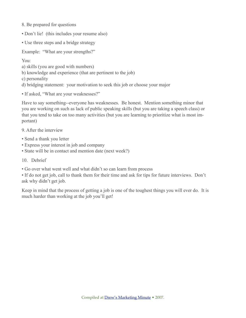- 8. Be prepared for questions
- Don't lie! (this includes your resume also)
- Use three steps and a bridge strategy

Example: "What are your strengths?"

You:

- a) skills (you are good with numbers)
- b) knowledge and experience (that are pertinent to the job)
- c) personality
- d) bridging statement: your motivation to seek this job or choose your major
- If asked, "What are your weaknesses?"

Have to say something--everyone has weaknesses. Be honest. Mention something minor that you are working on such as lack of public speaking skills (but you are taking a speech class) or that you tend to take on too many activities (but you are learning to prioritize what is most important)

9. After the interview

- Send a thank you letter
- Express your interest in job and company
- State will be in contact and mention date (next week?)
- 10. Debrief
- Go over what went well and what didn't so can learn from process

• If do not get job, call to thank them for their time and ask for tips for future interviews. Don't ask why didn't get job.

Keep in mind that the process of getting a job is one of the toughest things you will ever do. It is much harder than working at the job you'll get!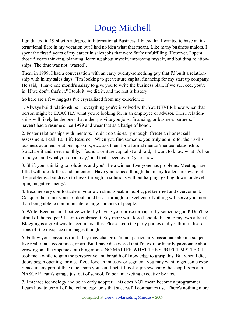# [Doug Mitchell](http://www.mitchgroup.com/)

I graduated in 1994 with a degree in International Business. I knew that I wanted to have an international flare in my vocation but I had no idea what that meant. Like many business majors, I spent the first 5 years of my career in sales jobs that were fairly unfulfilling. However, I spent those 5 years thinking, planning, learning about myself, improving myself, and building relationships. The time was not "wasted".

Then, in 1999, I had a conversation with an early twenty-something guy that I'd built a relationship with in my sales days, "I'm looking to get venture capital financing for my start up company, He said, "I have one month's salary to give you to write the business plan. If we succeed, you're in. If we don't, that's it." I took it, we did it, and the rest is history

So here are a few nuggets I've crystallized from my experience:

1. Always build relationships in everything you're involved with. You NEVER know when that person might be EXACTLY what you're looking for in an employee or advisor. These relationships will likely be the ones that either provide you jobs, financing, or business partners. I haven't had a resume since 1999 and wear that as a badge of honor.

2. Foster relationships with mentors. I didn't do this early enough. Create an honest selfassessment. I call it a "Life Resume". When you find someone you truly admire for their skills, business acumen, relationship skills, etc...ask them for a formal mentor/mentee relationship. Structure it and meet monthly. I found a venture capitalist and said, "I want to know what it's like to be you and what you do all day," and that's been over 2 years now.

3. Shift your thinking to solutions and you'll be a winner. Everyone has problems. Meetings are filled with idea killers and lamenters. Have you noticed though that many leaders are aware of the problems...but driven to break through to solutions without harping, getting down, or developing negative energy?

4. Become very comfortable in your own skin. Speak in public, get terrified and overcome it. Conquer that inner voice of doubt and break through to excellence. Nothing will serve you more than being able to communicate to large numbers of people.

5. Write. Become an effective writer by having your prose torn apart by someone good! Don't be afraid of the red pen! Learn to embrace it. Say more with less (I should listen to my own advice). Blogging is a great way to accomplish this. Please keep the party photos and youthful indiscretions off the myspace.com pages though.

6. Follow your passions (hint: they may change). I'm not particularly passionate about a subject like real estate, economics, or art. But I have discovered that I'm extraordinarily passionate about growing small companies into bigger ones NO MATTER WHAT THE SUBJECT MATTER. It took me a while to gain the perspective and breadth of knowledge to grasp this. But when I did, doors began opening for me. If you love an industry or segment, you may want to get some experience in any part of the value chain you can. I bet if I took a job sweeping the shop floors at a NASCAR team's garage just out of school, I'd be a marketing executive by now.

7. Embrace technology and be an early adopter. This does NOT mean become a programmer! Learn how to use all of the technology tools that successful companies use. There's nothing more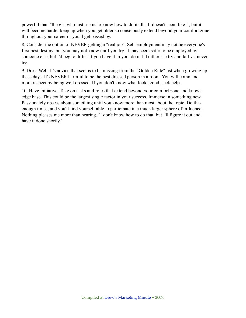powerful than "the girl who just seems to know how to do it all". It doesn't seem like it, but it will become harder keep up when you get older so consciously extend beyond your comfort zone throughout your career or you'll get passed by.

8. Consider the option of NEVER getting a "real job". Self-employment may not be everyone's first best destiny, but you may not know until you try. It may seem safer to be employed by someone else, but I'd beg to differ. If you have it in you, do it. I'd rather see try and fail vs. never try.

9. Dress Well. It's advice that seems to be missing from the "Golden Rule" list when growing up these days. It's NEVER harmful to be the best dressed person in a room. You will command more respect by being well dressed. If you don't know what looks good, seek help.

10. Have initiative. Take on tasks and roles that extend beyond your comfort zone and knowledge base. This could be the largest single factor in your success. Immerse in something new. Passionately obsess about something until you know more than most about the topic. Do this enough times, and you'll find yourself able to participate in a much larger sphere of influence. Nothing pleases me more than hearing, "I don't know how to do that, but I'll figure it out and have it done shortly."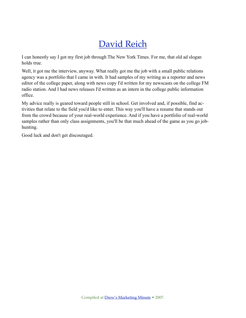# [David Reich](http://www.reichcomm.typepad.com/)

I can honestly say I got my first job through The New York Times. For me, that old ad slogan holds true.

Well, it got me the interview, anyway. What really got me the job with a small public relations agency was a portfolio that I came in with. It had samples of my writing as a reporter and news editor of the college paper, along with news copy I'd written for my newscasts on the college FM radio station. And I had news releases I'd written as an intern in the college public information office.

My advice really is geared toward people still in school. Get involved and, if possible, find activities that relate to the field you'd like to enter. This way you'll have a resume that stands out from the crowd because of your real-world experience. And if you have a portfolio of real-world samples rather than only class assignments, you'll be that much ahead of the game as you go jobhunting.

Good luck and don't get discouraged.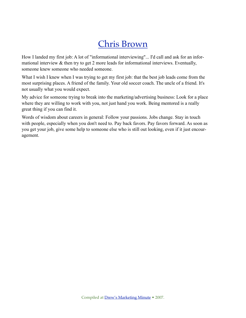# [Chris Brown](http://brandandmarket.blogspot.com/)

How I landed my first job: A lot of "informational interviewing"... I'd call and ask for an informational interview  $\&$  then try to get 2 more leads for informational interviews. Eventually, someone knew someone who needed someone.

What I wish I knew when I was trying to get my first job: that the best job leads come from the most surprising places. A friend of the family. Your old soccer coach. The uncle of a friend. It's not usually what you would expect.

My advice for someone trying to break into the marketing/advertising business: Look for a place where they are willing to work with you, not just hand you work. Being mentored is a really great thing if you can find it.

Words of wisdom about careers in general: Follow your passions. Jobs change. Stay in touch with people, especially when you don't need to. Pay back favors. Pay favors forward. As soon as you get your job, give some help to someone else who is still out looking, even if it just encouragement.